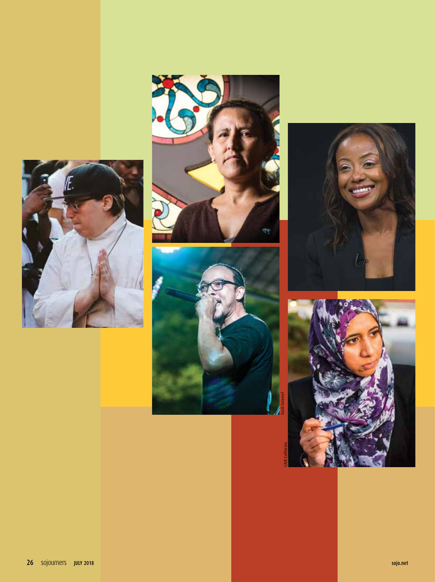







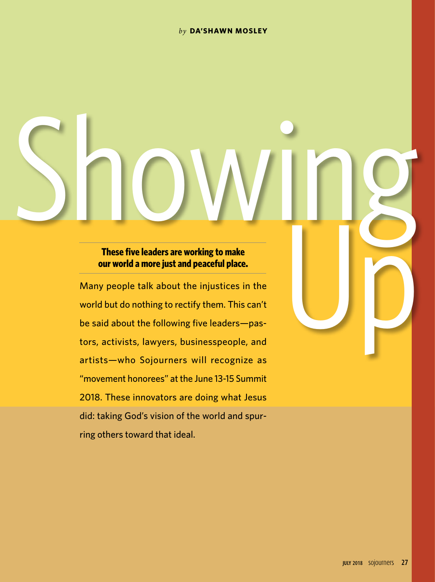#### *by* **DA'SHAWN MOSLEY**

# **our world a more just and peaceful place.**

These five leaders are working to make<br> **Example 20** and the secondary are working to make<br> **Example 20** and peaceful place.<br>
Many people talk about the injustices in the<br>
world but do nothing to rectify them. This can't<br> Many people talk about the injustices in the world but do nothing to rectify them. This can't be said about the following five leaders—pastors, activists, lawyers, businesspeople, and artists—who Sojourners will recognize as "movement honorees" at the June 13-15 Summit 2018. These innovators are doing what Jesus did: taking God's vision of the world and spurring others toward that ideal.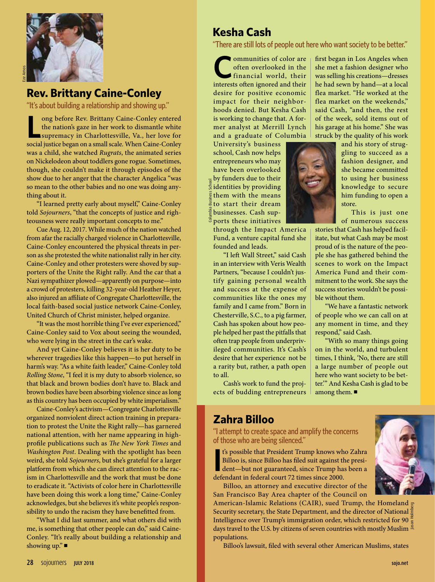

"It's about building a relationship and showing up."

**L** ong before Rev. Brittany Caine-Conley entered the nation's gaze in her work to dismantle white supremacy in Charlottesville, Va., her love for social justice began on a small scale. When Caine-Conley was a child, she watched *Rugrats*, the animated series on Nickelodeon about toddlers gone rogue. Sometimes, though, she couldn't make it through episodes of the show due to her anger that the character Angelica "was so mean to the other babies and no one was doing anything about it.

"I learned pretty early about myself," Caine-Conley told *Sojourners*, "that the concepts of justice and righteousness were really important concepts to me."

Cue Aug. 12, 2017. While much of the nation watched from afar the racially charged violence in Charlottesville, Caine-Conley encountered the physical threats in person as she protested the white nationalist rally in her city. Caine-Conley and other protesters were shoved by supporters of the Unite the Right rally. And the car that a Nazi sympathizer plowed—apparently on purpose—into a crowd of protesters, killing 32-year-old Heather Heyer, also injured an affiliate of Congregate Charlottesville, the local faith-based social justice network Caine-Conley, United Church of Christ minister, helped organize.

"It was the most horrible thing I've ever experienced," Caine-Conley said to Vox about seeing the wounded, who were lying in the street in the car's wake.

And yet Caine-Conley believes it is her duty to be wherever tragedies like this happen—to put herself in harm's way. "As a white faith leader," Caine-Conley told *Rolling Stone*, "I feel it is my duty to absorb violence, so that black and brown bodies don't have to. Black and brown bodies have been absorbing violence since as long as this country has been occupied by white imperialism."

Caine-Conley's activism—Congregate Charlottesville organized nonviolent direct action training in preparation to protest the Unite the Right rally—has garnered national attention, with her name appearing in highprofile publications such as *The New York Times* and *Washington Post*. Dealing with the spotlight has been weird, she told *Sojourners*, but she's grateful for a larger platform from which she can direct attention to the racism in Charlottesville and the work that must be done to eradicate it. "Activists of color here in Charlottesville have been doing this work a long time," Caine-Conley acknowledges, but she believes it's white people's responsibility to undo the racism they have benefitted from.

"What I did last summer, and what others did with me, is something that other people can do," said Caine-Conley. "It's really about building a relationship and showing  $up$ ."

# **Kesha Cash**

"There are still lots of people out here who want society to be better."

**C**ommunities of color are often overlooked in the financial world, their interests often ignored and their desire for positive economic impact for their neighborhoods denied. But Kesha Cash is working to change that. A former analyst at Merrill Lynch and a graduate of Columbia

University's business school, Cash now helps entrepreneurs who may have been overlooked by funders due to their identities by providing them with the means to start their dream businesses. Cash supports these initiatives Columbia Business School

Ē

through the Impact America Fund, a venture capital fund she founded and leads.

"I left Wall Street," said Cash in an interview with Veris Wealth Partners, "because I couldn't justify gaining personal wealth and success at the expense of communities like the ones my family and I came from." Born in Chesterville, S.C., to a pig farmer, Cash has spoken about how people helped her past the pitfalls that often trap people from underprivileged communities. It's Cash's desire that her experience not be a rarity but, rather, a path open to all.

Cash's work to fund the projects of budding entrepreneurs



struck by the quality of his work and his story of struggling to succeed as a fashion designer, and she became committed to using her business knowledge to secure him funding to open a store.

first began in Los Angeles when she met a fashion designer who was selling his creations—dresses he had sewn by hand—at a local flea market. "He worked at the flea market on the weekends," said Cash, "and then, the rest of the week, sold items out of his garage at his home." She was

> This is just one of numerous success

stories that Cash has helped facilitate, but what Cash may be most proud of is the nature of the people she has gathered behind the scenes to work on the Impact America Fund and their commitment to the work. She says the success stories wouldn't be possible without them.

"We have a fantastic network of people who we can call on at any moment in time, and they respond," said Cash.

"With so many things going on in the world, and turbulent times, I think, 'No, there are still a large number of people out here who want society to be better.'" And Kesha Cash is glad to be among them.  $\blacksquare$ 

## **Zahra Billoo**

"I attempt to create space and amplify the concerns of those who are being silenced."

**I**<sup>t</sup>'s possible that President Trump knows wh Billoo is, since Billoo has filed suit against the dent—but not guaranteed, since Trump had defendant in federal court 72 times since 2000. t's possible that President Trump knows who Zahra Billoo is, since Billoo has filed suit against the president—but not guaranteed, since Trump has been a

Billoo, an attorney and executive director of the San Francisco Bay Area chapter of the Council on

American-Islamic Relations (CAIR), sued Trump, the Homeland go Security secretary, the State Department, and the director of National Intelligence over Trump's immigration order, which restricted for 90 $\frac{\pi}{5}$ days travel to the U.S. by citizens of seven countries with mostly Muslim  $\frac{8}{3}$ populations. Jason Holmberg

Billoo's lawsuit, filed with several other American Muslims, states